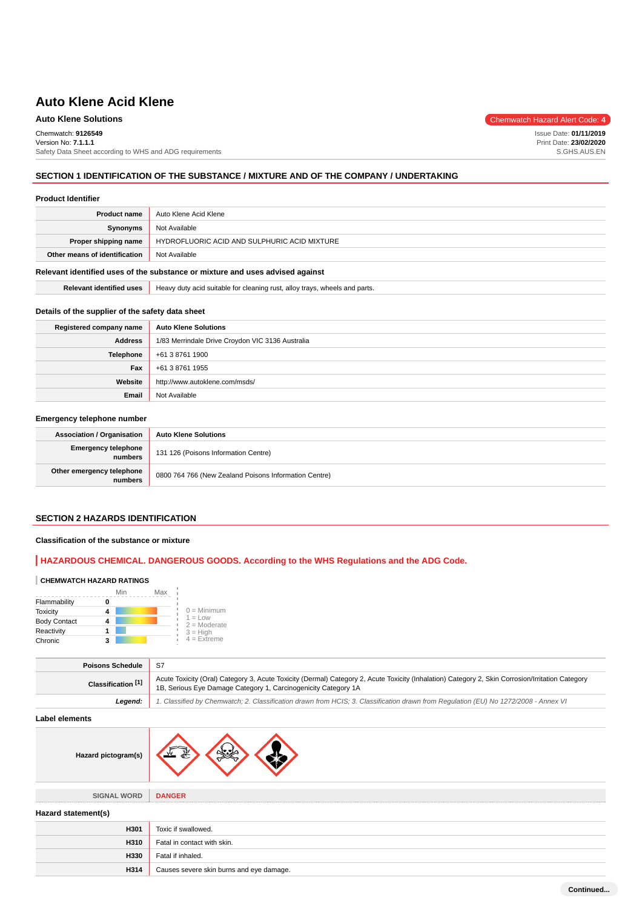### Chemwatch: **9126549**

Version No: **7.1.1.1** Safety Data Sheet according to WHS and ADG requirements

### **SECTION 1 IDENTIFICATION OF THE SUBSTANCE / MIXTURE AND OF THE COMPANY / UNDERTAKING**

#### **Product Identifier**

| <b>Product name</b>           | Auto Klene Acid Klene                        |
|-------------------------------|----------------------------------------------|
| Synonyms                      | Not Available                                |
| Proper shipping name          | HYDROFLUORIC ACID AND SULPHURIC ACID MIXTURE |
| Other means of identification | Not Available                                |
|                               |                                              |

#### **Relevant identified uses of the substance or mixture and uses advised against**

**Relevant identified uses** | Heavy duty acid suitable for cleaning rust, alloy trays, wheels and parts.

#### **Details of the supplier of the safety data sheet**

| Registered company name | <b>Auto Klene Solutions</b>                      |
|-------------------------|--------------------------------------------------|
| <b>Address</b>          | 1/83 Merrindale Drive Croydon VIC 3136 Australia |
| <b>Telephone</b>        | +61 3 8761 1900                                  |
| Fax                     | +61 3 8761 1955                                  |
| Website                 | http://www.autoklene.com/msds/                   |
| Email                   | Not Available                                    |

#### **Emergency telephone number**

| <b>Association / Organisation</b>    | <b>Auto Klene Solutions</b>                           |  |
|--------------------------------------|-------------------------------------------------------|--|
| Emergency telephone<br>numbers       | 131 126 (Poisons Information Centre)                  |  |
| Other emergency telephone<br>numbers | 0800 764 766 (New Zealand Poisons Information Centre) |  |

#### **SECTION 2 HAZARDS IDENTIFICATION**

#### **Classification of the substance or mixture**

### **HAZARDOUS CHEMICAL. DANGEROUS GOODS. According to the WHS Regulations and the ADG Code.**

#### **CHEMWATCH HAZARD RATINGS**

|                     | Min | Max |                             |
|---------------------|-----|-----|-----------------------------|
| Flammability        |     |     |                             |
| <b>Toxicity</b>     |     |     | $0 =$ Minimum               |
| <b>Body Contact</b> |     |     | $1 = Low$<br>$2 =$ Moderate |
| Reactivity          |     |     | $3 = H$ igh                 |
| Chronic             |     |     | $4$ = Extreme               |

| Poisons Schedule              | - S7                                                                                                                                                                                                               |  |
|-------------------------------|--------------------------------------------------------------------------------------------------------------------------------------------------------------------------------------------------------------------|--|
| Classification <sup>[1]</sup> | Acute Toxicity (Oral) Category 3, Acute Toxicity (Dermal) Category 2, Acute Toxicity (Inhalation) Category 2, Skin Corrosion/Irritation Category<br>1B, Serious Eye Damage Category 1, Carcinogenicity Category 1A |  |
| Leaend:                       | 1. Classified by Chemwatch; 2. Classification drawn from HCIS; 3. Classification drawn from Regulation (EU) No 1272/2008 - Annex VI                                                                                |  |

#### **Label elements**

| Hazard pictogram(s) |
|---------------------|
|---------------------|

**SIGNAL WORD DANGER**

#### **Hazard statement(s)**

| H301 | Toxic if swallowed.                      |
|------|------------------------------------------|
| H310 | Fatal in contact with skin.              |
| H330 | Fatal if inhaled.                        |
| H314 | Causes severe skin burns and eye damage. |

**Auto Klene Solutions** Chemwatch Hazard Alert Code: 4

Issue Date: **01/11/2019** Print Date: **23/02/2020** S.GHS.AUS.EN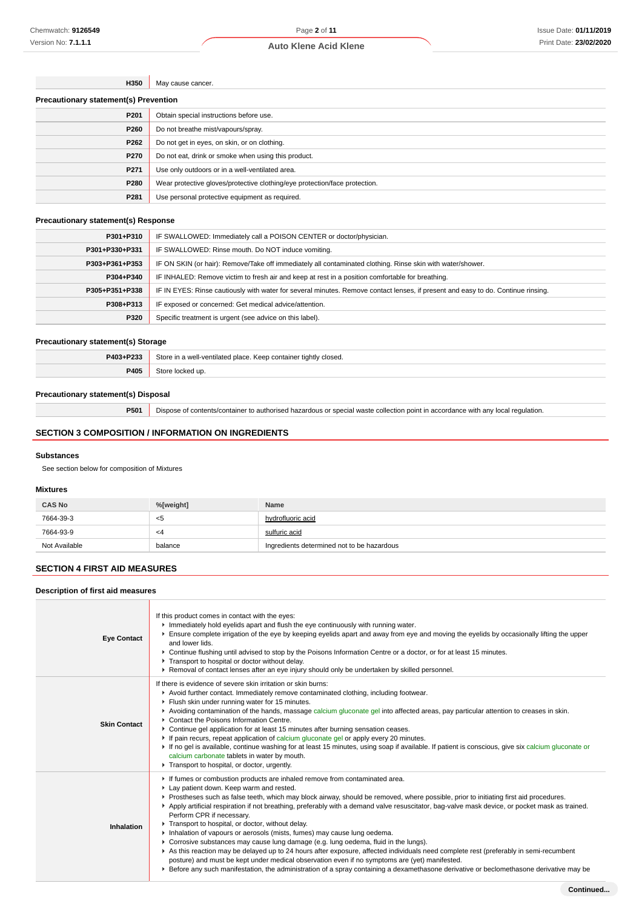**H350** May cause cancer.

| <b>Precautionary statement(s) Prevention</b> |                                                                            |  |
|----------------------------------------------|----------------------------------------------------------------------------|--|
| P <sub>201</sub>                             | Obtain special instructions before use.                                    |  |
| P260                                         | Do not breathe mist/vapours/spray.                                         |  |
| P262                                         | Do not get in eyes, on skin, or on clothing.                               |  |
| P270                                         | Do not eat, drink or smoke when using this product.                        |  |
| P271                                         | Use only outdoors or in a well-ventilated area.                            |  |
| P280                                         | Wear protective gloves/protective clothing/eye protection/face protection. |  |
| P281                                         | Use personal protective equipment as required.                             |  |

### **Precautionary statement(s) Response**

| P301+P310      | IF SWALLOWED: Immediately call a POISON CENTER or doctor/physician.                                                              |
|----------------|----------------------------------------------------------------------------------------------------------------------------------|
| P301+P330+P331 | IF SWALLOWED: Rinse mouth. Do NOT induce vomiting.                                                                               |
| P303+P361+P353 | IF ON SKIN (or hair): Remove/Take off immediately all contaminated clothing. Rinse skin with water/shower.                       |
| P304+P340      | IF INHALED: Remove victim to fresh air and keep at rest in a position comfortable for breathing.                                 |
| P305+P351+P338 | IF IN EYES: Rinse cautiously with water for several minutes. Remove contact lenses, if present and easy to do. Continue rinsing. |
| P308+P313      | IF exposed or concerned: Get medical advice/attention.                                                                           |
| P320           | Specific treatment is urgent (see advice on this label).                                                                         |

#### **Precautionary statement(s) Storage**

| P403+P233 | Store in a well-ventilated place.<br>Keep container tightly closed. |  |
|-----------|---------------------------------------------------------------------|--|
| P405      | ur                                                                  |  |

### **Precautionary statement(s) Disposal**

**P501** Dispose of contents/container to authorised hazardous or special waste collection point in accordance with any local regulation.

### **SECTION 3 COMPOSITION / INFORMATION ON INGREDIENTS**

### **Substances**

See section below for composition of Mixtures

### **Mixtures**

| <b>CAS No</b> | %[weight] | <b>Name</b>                                |
|---------------|-----------|--------------------------------------------|
| 7664-39-3     | - <5      | hydrofluoric acid                          |
| 7664-93-9     | -4        | sulfuric acid                              |
| Not Available | balance   | Ingredients determined not to be hazardous |

### **SECTION 4 FIRST AID MEASURES**

#### **Description of first aid measures**

| <b>Eye Contact</b>  | If this product comes in contact with the eyes:<br>Immediately hold eyelids apart and flush the eye continuously with running water.<br>Ensure complete irrigation of the eye by keeping eyelids apart and away from eye and moving the eyelids by occasionally lifting the upper<br>and lower lids.<br>▶ Continue flushing until advised to stop by the Poisons Information Centre or a doctor, or for at least 15 minutes.<br>Transport to hospital or doctor without delay.<br>▶ Removal of contact lenses after an eye injury should only be undertaken by skilled personnel.                                                                                                                                                                                                                                                                                                                                                                                                                                                                         |
|---------------------|-----------------------------------------------------------------------------------------------------------------------------------------------------------------------------------------------------------------------------------------------------------------------------------------------------------------------------------------------------------------------------------------------------------------------------------------------------------------------------------------------------------------------------------------------------------------------------------------------------------------------------------------------------------------------------------------------------------------------------------------------------------------------------------------------------------------------------------------------------------------------------------------------------------------------------------------------------------------------------------------------------------------------------------------------------------|
| <b>Skin Contact</b> | If there is evidence of severe skin irritation or skin burns:<br>Avoid further contact. Immediately remove contaminated clothing, including footwear.<br>Filush skin under running water for 15 minutes.<br>► Avoiding contamination of the hands, massage calcium gluconate gel into affected areas, pay particular attention to creases in skin.<br>▶ Contact the Poisons Information Centre.<br>▶ Continue gel application for at least 15 minutes after burning sensation ceases.<br>If pain recurs, repeat application of calcium gluconate gel or apply every 20 minutes.<br>► If no gel is available, continue washing for at least 15 minutes, using soap if available. If patient is conscious, give six calcium gluconate or<br>calcium carbonate tablets in water by mouth.<br>Transport to hospital, or doctor, urgently.                                                                                                                                                                                                                     |
| Inhalation          | If fumes or combustion products are inhaled remove from contaminated area.<br>Lay patient down. Keep warm and rested.<br>▶ Prostheses such as false teeth, which may block airway, should be removed, where possible, prior to initiating first aid procedures.<br>Apply artificial respiration if not breathing, preferably with a demand valve resuscitator, bag-valve mask device, or pocket mask as trained.<br>Perform CPR if necessary.<br>Transport to hospital, or doctor, without delay.<br>Inhalation of vapours or aerosols (mists, fumes) may cause lung oedema.<br>► Corrosive substances may cause lung damage (e.g. lung oedema, fluid in the lungs).<br>As this reaction may be delayed up to 24 hours after exposure, affected individuals need complete rest (preferably in semi-recumbent<br>posture) and must be kept under medical observation even if no symptoms are (yet) manifested.<br>Exercise any such manifestation, the administration of a spray containing a dexamethasone derivative or beclomethasone derivative may be |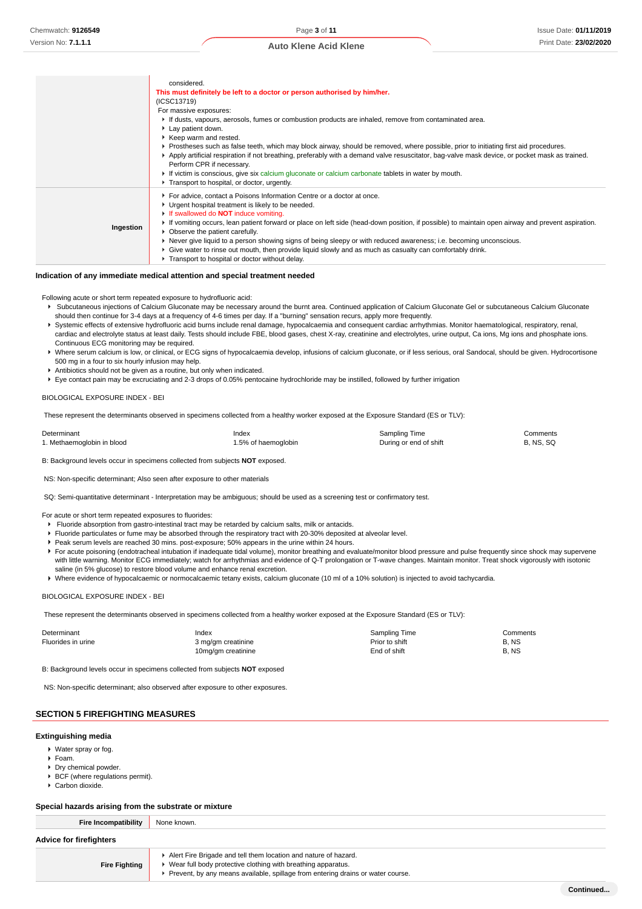|           | considered.<br>This must definitely be left to a doctor or person authorised by him/her.<br>(ICSC13719)<br>For massive exposures:<br>If dusts, vapours, aerosols, fumes or combustion products are inhaled, remove from contaminated area.<br>Lay patient down.<br>▶ Keep warm and rested.<br>▶ Prostheses such as false teeth, which may block airway, should be removed, where possible, prior to initiating first aid procedures.<br>Apply artificial respiration if not breathing, preferably with a demand valve resuscitator, bag-valve mask device, or pocket mask as trained.<br>Perform CPR if necessary.<br>If victim is conscious, give six calcium gluconate or calcium carbonate tablets in water by mouth.<br>Transport to hospital, or doctor, urgently. |
|-----------|-------------------------------------------------------------------------------------------------------------------------------------------------------------------------------------------------------------------------------------------------------------------------------------------------------------------------------------------------------------------------------------------------------------------------------------------------------------------------------------------------------------------------------------------------------------------------------------------------------------------------------------------------------------------------------------------------------------------------------------------------------------------------|
| Ingestion | For advice, contact a Poisons Information Centre or a doctor at once.<br>• Urgent hospital treatment is likely to be needed.<br>If swallowed do <b>NOT</b> induce vomiting.<br>If vomiting occurs, lean patient forward or place on left side (head-down position, if possible) to maintain open airway and prevent aspiration.<br>• Observe the patient carefully.<br>▶ Never give liquid to a person showing signs of being sleepy or with reduced awareness; i.e. becoming unconscious.<br>► Give water to rinse out mouth, then provide liquid slowly and as much as casualty can comfortably drink.<br>Transport to hospital or doctor without delay.                                                                                                              |

#### **Indication of any immediate medical attention and special treatment needed**

Following acute or short term repeated exposure to hydrofluoric acid:

- Subcutaneous injections of Calcium Gluconate may be necessary around the burnt area. Continued application of Calcium Gluconate Gel or subcutaneous Calcium Gluconate should then continue for 3-4 days at a frequency of 4-6 times per day. If a "burning" sensation recurs, apply more frequently.
- ▶ Systemic effects of extensive hydrofluoric acid burns include renal damage, hypocalcaemia and consequent cardiac arrhythmias. Monitor haematological, respiratory, renal, cardiac and electrolyte status at least daily. Tests should include FBE, blood gases, chest X-ray, creatinine and electrolytes, urine output, Ca ions, Mg ions and phosphate ions. Continuous ECG monitoring may be required.
- Where serum calcium is low, or clinical, or ECG signs of hypocalcaemia develop, infusions of calcium gluconate, or if less serious, oral Sandocal, should be given. Hydrocortisone 500 mg in a four to six hourly infusion may help.
- Antibiotics should not be given as a routine, but only when indicated.
- Eye contact pain may be excruciating and 2-3 drops of 0.05% pentocaine hydrochloride may be instilled, followed by further irrigation

#### BIOLOGICAL EXPOSURE INDEX - BEI

These represent the determinants observed in specimens collected from a healthy worker exposed at the Exposure Standard (ES or TLV):

| Determinant                | Index               | Sampling Time          | Comments         |
|----------------------------|---------------------|------------------------|------------------|
| 1. Methaemoglobin in blood | 1.5% of haemoglobin | During or end of shift | <b>B. NS. SQ</b> |

B: Background levels occur in specimens collected from subjects **NOT** exposed.

NS: Non-specific determinant; Also seen after exposure to other materials

SQ: Semi-quantitative determinant - Interpretation may be ambiguous; should be used as a screening test or confirmatory test.

For acute or short term repeated exposures to fluorides:

- Fluoride absorption from gastro-intestinal tract may be retarded by calcium salts, milk or antacids.
- Fluoride particulates or fume may be absorbed through the respiratory tract with 20-30% deposited at alveolar level.
- Peak serum levels are reached 30 mins. post-exposure; 50% appears in the urine within 24 hours.
- F For acute poisoning (endotracheal intubation if inadequate tidal volume), monitor breathing and evaluate/monitor blood pressure and pulse frequently since shock may supervene with little warning. Monitor ECG immediately; watch for arrhythmias and evidence of Q-T prolongation or T-wave changes. Maintain monitor. Treat shock vigorously with isotonic saline (in 5% glucose) to restore blood volume and enhance renal excretion.
- Where evidence of hypocalcaemic or normocalcaemic tetany exists, calcium gluconate (10 ml of a 10% solution) is injected to avoid tachycardia.

#### BIOLOGICAL EXPOSURE INDEX - BEI

These represent the determinants observed in specimens collected from a healthy worker exposed at the Exposure Standard (ES or TLV):

| Determinant        | Index              | <b>Sampling Time</b> | Comments |
|--------------------|--------------------|----------------------|----------|
| Fluorides in urine | 3 mg/gm creatinine | Prior to shift       | B.NS     |
|                    | 10mg/gm creatinine | End of shift         | B, NS    |

B: Background levels occur in specimens collected from subjects **NOT** exposed

NS: Non-specific determinant; also observed after exposure to other exposures.

### **SECTION 5 FIREFIGHTING MEASURES**

#### **Extinguishing media**

- Water spray or fog.
- $F$ Foam.
- Dry chemical powder.
- BCF (where regulations permit).
- Carbon dioxide.

#### **Special hazards arising from the substrate or mixture**

| Fire Incompatibility           | None known.                                                                                                                                                                                                            |
|--------------------------------|------------------------------------------------------------------------------------------------------------------------------------------------------------------------------------------------------------------------|
| <b>Advice for firefighters</b> |                                                                                                                                                                                                                        |
| <b>Fire Fighting</b>           | Alert Fire Brigade and tell them location and nature of hazard.<br>▶ Wear full body protective clothing with breathing apparatus.<br>▶ Prevent, by any means available, spillage from entering drains or water course. |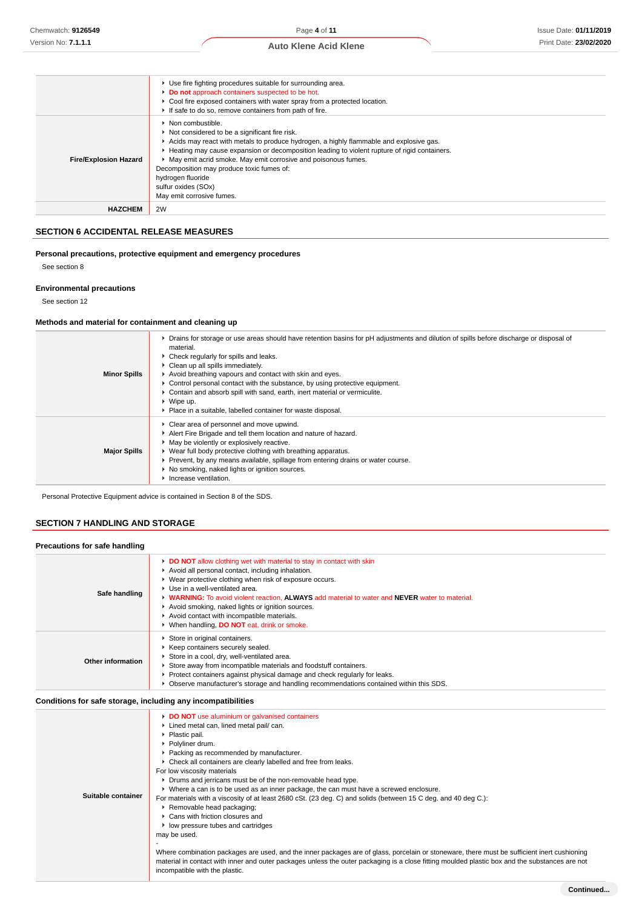|                              | ▶ Use fire fighting procedures suitable for surrounding area.<br>Do not approach containers suspected to be hot.<br>Cool fire exposed containers with water spray from a protected location.<br>If safe to do so, remove containers from path of fire.                                                                                                                                                                                                                  |
|------------------------------|-------------------------------------------------------------------------------------------------------------------------------------------------------------------------------------------------------------------------------------------------------------------------------------------------------------------------------------------------------------------------------------------------------------------------------------------------------------------------|
| <b>Fire/Explosion Hazard</b> | $\triangleright$ Non combustible.<br>Not considered to be a significant fire risk.<br>Acids may react with metals to produce hydrogen, a highly flammable and explosive gas.<br>► Heating may cause expansion or decomposition leading to violent rupture of rigid containers.<br>• May emit acrid smoke. May emit corrosive and poisonous fumes.<br>Decomposition may produce toxic fumes of:<br>hydrogen fluoride<br>sulfur oxides (SOx)<br>May emit corrosive fumes. |
| <b>HAZCHEM</b>               | 2W                                                                                                                                                                                                                                                                                                                                                                                                                                                                      |

### **SECTION 6 ACCIDENTAL RELEASE MEASURES**

### **Personal precautions, protective equipment and emergency procedures**

See section 8

#### **Environmental precautions**

See section 12

### **Methods and material for containment and cleaning up**

| <b>Minor Spills</b> | • Drains for storage or use areas should have retention basins for pH adjustments and dilution of spills before discharge or disposal of<br>material.<br>▶ Check regularly for spills and leaks.<br>• Clean up all spills immediately.<br>Avoid breathing vapours and contact with skin and eyes.<br>► Control personal contact with the substance, by using protective equipment.<br>► Contain and absorb spill with sand, earth, inert material or vermiculite.<br>$\triangleright$ Wipe up.<br>• Place in a suitable, labelled container for waste disposal. |
|---------------------|-----------------------------------------------------------------------------------------------------------------------------------------------------------------------------------------------------------------------------------------------------------------------------------------------------------------------------------------------------------------------------------------------------------------------------------------------------------------------------------------------------------------------------------------------------------------|
| <b>Major Spills</b> | • Clear area of personnel and move upwind.<br>Alert Fire Brigade and tell them location and nature of hazard.<br>• May be violently or explosively reactive.<br>▶ Wear full body protective clothing with breathing apparatus.<br>Prevent, by any means available, spillage from entering drains or water course.<br>▶ No smoking, naked lights or ignition sources.<br>Increase ventilation.                                                                                                                                                                   |

Personal Protective Equipment advice is contained in Section 8 of the SDS.

### **SECTION 7 HANDLING AND STORAGE**

| Safe handling     | DO NOT allow clothing wet with material to stay in contact with skin<br>Avoid all personal contact, including inhalation.<br>▶ Wear protective clothing when risk of exposure occurs.<br>▶ Use in a well-ventilated area.<br>• WARNING: To avoid violent reaction. ALWAYS add material to water and NEVER water to material.<br>Avoid smoking, naked lights or ignition sources.<br>Avoid contact with incompatible materials.<br>▶ When handling, DO NOT eat, drink or smoke. |
|-------------------|--------------------------------------------------------------------------------------------------------------------------------------------------------------------------------------------------------------------------------------------------------------------------------------------------------------------------------------------------------------------------------------------------------------------------------------------------------------------------------|
| Other information | Store in original containers.<br>▶ Keep containers securely sealed.<br>Store in a cool, dry, well-ventilated area.<br>Store away from incompatible materials and foodstuff containers.<br>► Protect containers against physical damage and check regularly for leaks.<br>▶ Observe manufacturer's storage and handling recommendations contained within this SDS.                                                                                                              |

| Suitable container | DO NOT use aluminium or galvanised containers<br>Lined metal can, lined metal pail/ can.<br>▶ Plastic pail.<br>▶ Polyliner drum.<br>▶ Packing as recommended by manufacturer.<br>• Check all containers are clearly labelled and free from leaks.<br>For low viscosity materials<br>• Drums and jerricans must be of the non-removable head type.<br>► Where a can is to be used as an inner package, the can must have a screwed enclosure.<br>For materials with a viscosity of at least 2680 cSt. (23 deg. C) and solids (between 15 C deg. and 40 deg C.):<br>▶ Removable head packaging;<br>▶ Cans with friction closures and<br>▶ low pressure tubes and cartridges<br>may be used. |
|--------------------|-------------------------------------------------------------------------------------------------------------------------------------------------------------------------------------------------------------------------------------------------------------------------------------------------------------------------------------------------------------------------------------------------------------------------------------------------------------------------------------------------------------------------------------------------------------------------------------------------------------------------------------------------------------------------------------------|
|                    | Where combination packages are used, and the inner packages are of glass, porcelain or stoneware, there must be sufficient inert cushioning<br>material in contact with inner and outer packages unless the outer packaging is a close fitting moulded plastic box and the substances are not<br>incompatible with the plastic.                                                                                                                                                                                                                                                                                                                                                           |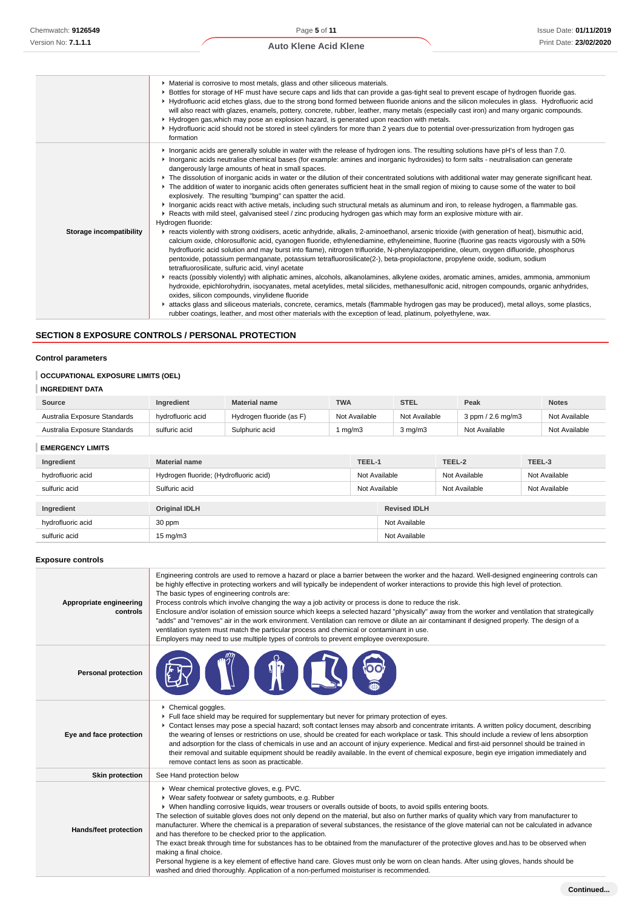|                         | • Material is corrosive to most metals, glass and other siliceous materials.<br>▶ Bottles for storage of HF must have secure caps and lids that can provide a gas-tight seal to prevent escape of hydrogen fluoride gas.<br>▶ Hydrofluoric acid etches glass, due to the strong bond formed between fluoride anions and the silicon molecules in glass. Hydrofluoric acid<br>will also react with glazes, enamels, pottery, concrete, rubber, leather, many metals (especially cast iron) and many organic compounds.<br>► Hydrogen gas, which may pose an explosion hazard, is generated upon reaction with metals.<br>▶ Hydrofluoric acid should not be stored in steel cylinders for more than 2 years due to potential over-pressurization from hydrogen gas<br>formation                                                                                                                                                                                                                                                                                                                                                                                                                                                                                                                                                                                                                                                                                                                                                                                                                                                                                                                                                                                                                                                                                                                                                                                                                                                                                                                                                                                                                                                                       |
|-------------------------|-----------------------------------------------------------------------------------------------------------------------------------------------------------------------------------------------------------------------------------------------------------------------------------------------------------------------------------------------------------------------------------------------------------------------------------------------------------------------------------------------------------------------------------------------------------------------------------------------------------------------------------------------------------------------------------------------------------------------------------------------------------------------------------------------------------------------------------------------------------------------------------------------------------------------------------------------------------------------------------------------------------------------------------------------------------------------------------------------------------------------------------------------------------------------------------------------------------------------------------------------------------------------------------------------------------------------------------------------------------------------------------------------------------------------------------------------------------------------------------------------------------------------------------------------------------------------------------------------------------------------------------------------------------------------------------------------------------------------------------------------------------------------------------------------------------------------------------------------------------------------------------------------------------------------------------------------------------------------------------------------------------------------------------------------------------------------------------------------------------------------------------------------------------------------------------------------------------------------------------------------------|
| Storage incompatibility | Interprision and Solutions are generally soluble in water with the release of hydrogen ions. The resulting solutions have pH's of less than 7.0.<br>Inorganic acids neutralise chemical bases (for example: amines and inorganic hydroxides) to form salts - neutralisation can generate<br>dangerously large amounts of heat in small spaces.<br>▶ The dissolution of inorganic acids in water or the dilution of their concentrated solutions with additional water may generate significant heat.<br>▶ The addition of water to inorganic acids often generates sufficient heat in the small region of mixing to cause some of the water to boil<br>explosively. The resulting "bumping" can spatter the acid.<br>Inorganic acids react with active metals, including such structural metals as aluminum and iron, to release hydrogen, a flammable gas.<br>▶ Reacts with mild steel, galvanised steel / zinc producing hydrogen gas which may form an explosive mixture with air.<br>Hydrogen fluoride:<br>F reacts violently with strong oxidisers, acetic anhydride, alkalis, 2-aminoethanol, arsenic trioxide (with generation of heat), bismuthic acid,<br>calcium oxide, chlorosulfonic acid, cyanogen fluoride, ethylenediamine, ethyleneimine, fluorine (fluorine gas reacts vigorously with a 50%<br>hydrofluoric acid solution and may burst into flame), nitrogen trifluoride, N-phenylazopiperidine, oleum, oxygen difluoride, phosphorus<br>pentoxide, potassium permanganate, potassium tetrafluorosilicate(2-), beta-propiolactone, propylene oxide, sodium, sodium<br>tetrafluorosilicate, sulfuric acid, vinyl acetate<br>► reacts (possibly violently) with aliphatic amines, alcohols, alkanolamines, alkylene oxides, aromatic amines, amides, ammonia, ammonium<br>hydroxide, epichlorohydrin, isocyanates, metal acetylides, metal silicides, methanesulfonic acid, nitrogen compounds, organic anhydrides,<br>oxides, silicon compounds, vinylidene fluoride<br>► attacks glass and siliceous materials, concrete, ceramics, metals (flammable hydrogen gas may be produced), metal alloys, some plastics,<br>rubber coatings, leather, and most other materials with the exception of lead, platinum, polyethylene, wax. |

### **SECTION 8 EXPOSURE CONTROLS / PERSONAL PROTECTION**

### **Control parameters**

### **OCCUPATIONAL EXPOSURE LIMITS (OEL)**

### **INGREDIENT DATA**

| Source                       | <b>Ingredient</b> | <b>Material name</b>     | <b>TWA</b>    | <b>STEL</b>   | Peak                     | <b>Notes</b>  |
|------------------------------|-------------------|--------------------------|---------------|---------------|--------------------------|---------------|
| Australia Exposure Standards | hydrofluoric acid | Hvdrogen fluoride (as F' | Not Available | Not Available | $3$ ppm $/$ 2.6 mg/m $3$ | Not Available |
| Australia Exposure Standards | sulfuric acid     | Sulphuric acid           | ma/m3         | 3 ma/m3       | Not Available            | Not Available |

**EMERGENCY LIMITS**

| ----------------  |                                        |               |                     |               |               |  |
|-------------------|----------------------------------------|---------------|---------------------|---------------|---------------|--|
| Ingredient        | <b>Material name</b><br>TEEL-1         |               |                     | TEEL-2        | TEEL-3        |  |
| hydrofluoric acid | Hydrogen fluoride; (Hydrofluoric acid) |               | Not Available       | Not Available | Not Available |  |
| sulfuric acid     | Sulfuric acid                          | Not Available |                     | Not Available | Not Available |  |
|                   |                                        |               |                     |               |               |  |
| Ingredient        | <b>Original IDLH</b>                   |               | <b>Revised IDLH</b> |               |               |  |
| hydrofluoric acid | 30 ppm                                 |               | Not Available       |               |               |  |
| sulfuric acid     | $15 \text{ mg/m}$                      |               | Not Available       |               |               |  |

### **Exposure controls**

| Appropriate engineering<br>controls | Engineering controls are used to remove a hazard or place a barrier between the worker and the hazard. Well-designed engineering controls can<br>be highly effective in protecting workers and will typically be independent of worker interactions to provide this high level of protection.<br>The basic types of engineering controls are:<br>Process controls which involve changing the way a job activity or process is done to reduce the risk.<br>Enclosure and/or isolation of emission source which keeps a selected hazard "physically" away from the worker and ventilation that strategically<br>"adds" and "removes" air in the work environment. Ventilation can remove or dilute an air contaminant if designed properly. The design of a<br>ventilation system must match the particular process and chemical or contaminant in use.<br>Employers may need to use multiple types of controls to prevent employee overexposure.                                                   |
|-------------------------------------|---------------------------------------------------------------------------------------------------------------------------------------------------------------------------------------------------------------------------------------------------------------------------------------------------------------------------------------------------------------------------------------------------------------------------------------------------------------------------------------------------------------------------------------------------------------------------------------------------------------------------------------------------------------------------------------------------------------------------------------------------------------------------------------------------------------------------------------------------------------------------------------------------------------------------------------------------------------------------------------------------|
| <b>Personal protection</b>          |                                                                                                                                                                                                                                                                                                                                                                                                                                                                                                                                                                                                                                                                                                                                                                                                                                                                                                                                                                                                   |
| Eye and face protection             | Chemical goggles.<br>Full face shield may be required for supplementary but never for primary protection of eyes.<br>▶ Contact lenses may pose a special hazard; soft contact lenses may absorb and concentrate irritants. A written policy document, describing<br>the wearing of lenses or restrictions on use, should be created for each workplace or task. This should include a review of lens absorption<br>and adsorption for the class of chemicals in use and an account of injury experience. Medical and first-aid personnel should be trained in<br>their removal and suitable equipment should be readily available. In the event of chemical exposure, begin eye irrigation immediately and<br>remove contact lens as soon as practicable.                                                                                                                                                                                                                                         |
| <b>Skin protection</b>              | See Hand protection below                                                                                                                                                                                                                                                                                                                                                                                                                                                                                                                                                                                                                                                                                                                                                                                                                                                                                                                                                                         |
| Hands/feet protection               | ▶ Wear chemical protective gloves, e.g. PVC.<br>▶ Wear safety footwear or safety gumboots, e.g. Rubber<br>▶ When handling corrosive liquids, wear trousers or overalls outside of boots, to avoid spills entering boots.<br>The selection of suitable gloves does not only depend on the material, but also on further marks of quality which vary from manufacturer to<br>manufacturer. Where the chemical is a preparation of several substances, the resistance of the glove material can not be calculated in advance<br>and has therefore to be checked prior to the application.<br>The exact break through time for substances has to be obtained from the manufacturer of the protective gloves and has to be observed when<br>making a final choice.<br>Personal hygiene is a key element of effective hand care. Gloves must only be worn on clean hands. After using gloves, hands should be<br>washed and dried thoroughly. Application of a non-perfumed moisturiser is recommended. |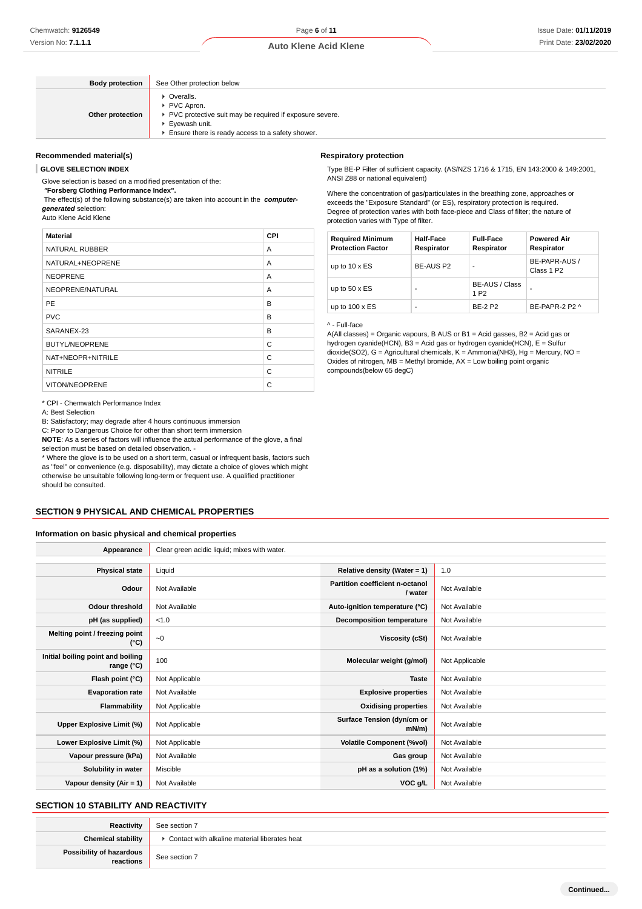| <b>Body protection</b> | See Other protection below                                                                                                                                    |
|------------------------|---------------------------------------------------------------------------------------------------------------------------------------------------------------|
| Other protection       | • Overalls.<br>PVC Apron.<br>▶ PVC protective suit may be required if exposure severe.<br>▶ Eyewash unit.<br>Ensure there is ready access to a safety shower. |

#### **Recommended material(s)**

**GLOVE SELECTION INDEX**

Glove selection is based on a modified presentation of the:

 **"Forsberg Clothing Performance Index".**

 The effect(s) of the following substance(s) are taken into account in the **computergenerated** selection:

Auto Klene Acid Klene

| <b>Material</b>       | CPI |
|-----------------------|-----|
| NATURAL RUBBER        | A   |
| NATURAL+NEOPRENE      | A   |
| <b>NEOPRENE</b>       | A   |
| NEOPRENE/NATURAL      | A   |
| <b>PE</b>             | B   |
| <b>PVC</b>            | B   |
| SARANEX-23            | B   |
| <b>BUTYL/NEOPRENE</b> | C   |
| NAT+NEOPR+NITRILE     | C   |
| <b>NITRILE</b>        | C   |
| <b>VITON/NEOPRENE</b> | C   |

\* CPI - Chemwatch Performance Index

A: Best Selection

B: Satisfactory; may degrade after 4 hours continuous immersion

C: Poor to Dangerous Choice for other than short term immersion

**NOTE**: As a series of factors will influence the actual performance of the glove, a final selection must be based on detailed observation. -

\* Where the glove is to be used on a short term, casual or infrequent basis, factors such as "feel" or convenience (e.g. disposability), may dictate a choice of gloves which might otherwise be unsuitable following long-term or frequent use. A qualified practitioner should be consulted.

#### **SECTION 9 PHYSICAL AND CHEMICAL PROPERTIES**

#### **Information on basic physical and chemical properties**

| Appearance                                      | Clear green acidic liquid; mixes with water. |                                            |                |
|-------------------------------------------------|----------------------------------------------|--------------------------------------------|----------------|
|                                                 |                                              |                                            |                |
| <b>Physical state</b>                           | Liquid                                       | Relative density (Water = $1$ )            | 1.0            |
| Odour                                           | Not Available                                | Partition coefficient n-octanol<br>/ water | Not Available  |
| <b>Odour threshold</b>                          | Not Available                                | Auto-ignition temperature (°C)             | Not Available  |
| pH (as supplied)                                | < 1.0                                        | <b>Decomposition temperature</b>           | Not Available  |
| Melting point / freezing point<br>(°C)          | $-0$                                         | Viscosity (cSt)                            | Not Available  |
| Initial boiling point and boiling<br>range (°C) | 100                                          | Molecular weight (g/mol)                   | Not Applicable |
| Flash point (°C)                                | Not Applicable                               | <b>Taste</b>                               | Not Available  |
| <b>Evaporation rate</b>                         | Not Available                                | <b>Explosive properties</b>                | Not Available  |
| <b>Flammability</b>                             | Not Applicable                               | <b>Oxidising properties</b>                | Not Available  |
| Upper Explosive Limit (%)                       | Not Applicable                               | Surface Tension (dyn/cm or<br>$mN/m$ )     | Not Available  |
| Lower Explosive Limit (%)                       | Not Applicable                               | <b>Volatile Component (%vol)</b>           | Not Available  |
| Vapour pressure (kPa)                           | Not Available                                | Gas group                                  | Not Available  |
| Solubility in water                             | Miscible                                     | pH as a solution (1%)                      | Not Available  |
| Vapour density (Air = 1)                        | Not Available                                | VOC g/L                                    | Not Available  |

#### **SECTION 10 STABILITY AND REACTIVITY**

| Reactivity                            | See section 7                                   |
|---------------------------------------|-------------------------------------------------|
| <b>Chemical stability</b>             | ▶ Contact with alkaline material liberates heat |
| Possibility of hazardous<br>reactions | See section 7                                   |

#### **Respiratory protection**

Type BE-P Filter of sufficient capacity. (AS/NZS 1716 & 1715, EN 143:2000 & 149:2001, ANSI Z88 or national equivalent)

Where the concentration of gas/particulates in the breathing zone, approaches or exceeds the "Exposure Standard" (or ES), respiratory protection is required. Degree of protection varies with both face-piece and Class of filter; the nature of protection varies with Type of filter.

| <b>Required Minimum</b><br><b>Protection Factor</b> | <b>Half-Face</b><br>Respirator | <b>Full-Face</b><br>Respirator     | <b>Powered Air</b><br>Respirator        |
|-----------------------------------------------------|--------------------------------|------------------------------------|-----------------------------------------|
| up to $10 \times ES$                                | BE-AUS P2                      |                                    | BE-PAPR-AUS /<br>Class 1 P <sub>2</sub> |
| up to $50 \times ES$                                | ۰                              | BE-AUS / Class<br>1 P <sub>2</sub> |                                         |
| up to $100 \times ES$                               | ۰                              | <b>BF-2 P2</b>                     | BE-PAPR-2 P2 ^                          |

^ - Full-face

A(All classes) = Organic vapours, B AUS or B1 = Acid gasses, B2 = Acid gas or hydrogen cyanide(HCN), B3 = Acid gas or hydrogen cyanide(HCN), E = Sulfur dioxide(SO2), G = Agricultural chemicals, K = Ammonia(NH3), Hg = Mercury, NO = Oxides of nitrogen,  $MB =$  Methyl bromide,  $AX =$  Low boiling point organic compounds(below 65 degC)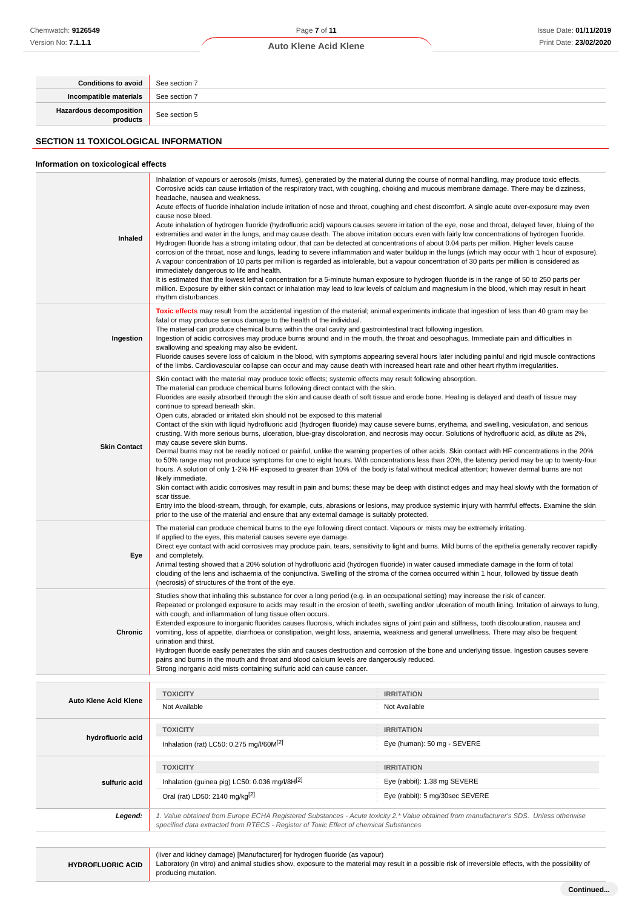### Page **7** of **11**

#### **Auto Klene Acid Klene**

| <b>Conditions to avoid</b>                  | See section 7                                                                                                                                                                                                                                                                                                                                                                                                                                                                                                                                                                                                                                                                                                                                                                                                                                                                                                                                                                                                                                                                                                                                                                                                                                                                                                                                                                                                                                                                                                                                                                                                                                  |
|---------------------------------------------|------------------------------------------------------------------------------------------------------------------------------------------------------------------------------------------------------------------------------------------------------------------------------------------------------------------------------------------------------------------------------------------------------------------------------------------------------------------------------------------------------------------------------------------------------------------------------------------------------------------------------------------------------------------------------------------------------------------------------------------------------------------------------------------------------------------------------------------------------------------------------------------------------------------------------------------------------------------------------------------------------------------------------------------------------------------------------------------------------------------------------------------------------------------------------------------------------------------------------------------------------------------------------------------------------------------------------------------------------------------------------------------------------------------------------------------------------------------------------------------------------------------------------------------------------------------------------------------------------------------------------------------------|
| Incompatible materials                      | See section 7                                                                                                                                                                                                                                                                                                                                                                                                                                                                                                                                                                                                                                                                                                                                                                                                                                                                                                                                                                                                                                                                                                                                                                                                                                                                                                                                                                                                                                                                                                                                                                                                                                  |
| Hazardous decomposition<br>products         | See section 5                                                                                                                                                                                                                                                                                                                                                                                                                                                                                                                                                                                                                                                                                                                                                                                                                                                                                                                                                                                                                                                                                                                                                                                                                                                                                                                                                                                                                                                                                                                                                                                                                                  |
| <b>SECTION 11 TOXICOLOGICAL INFORMATION</b> |                                                                                                                                                                                                                                                                                                                                                                                                                                                                                                                                                                                                                                                                                                                                                                                                                                                                                                                                                                                                                                                                                                                                                                                                                                                                                                                                                                                                                                                                                                                                                                                                                                                |
| Information on toxicological effects        |                                                                                                                                                                                                                                                                                                                                                                                                                                                                                                                                                                                                                                                                                                                                                                                                                                                                                                                                                                                                                                                                                                                                                                                                                                                                                                                                                                                                                                                                                                                                                                                                                                                |
| Inhaled                                     | Inhalation of vapours or aerosols (mists, fumes), generated by the material during the course of normal handling, may produce toxic effects.<br>Corrosive acids can cause irritation of the respiratory tract, with coughing, choking and mucous membrane damage. There may be dizziness,<br>headache, nausea and weakness.<br>Acute effects of fluoride inhalation include irritation of nose and throat, coughing and chest discomfort. A single acute over-exposure may even<br>cause nose bleed.<br>Acute inhalation of hydrogen fluoride (hydrofluoric acid) vapours causes severe irritation of the eye, nose and throat, delayed fever, bluing of the<br>extremities and water in the lungs, and may cause death. The above irritation occurs even with fairly low concentrations of hydrogen fluoride.<br>Hydrogen fluoride has a strong irritating odour, that can be detected at concentrations of about 0.04 parts per million. Higher levels cause<br>corrosion of the throat, nose and lungs, leading to severe inflammation and water buildup in the lungs (which may occur with 1 hour of exposure).<br>A vapour concentration of 10 parts per million is regarded as intolerable, but a vapour concentration of 30 parts per million is considered as<br>immediately dangerous to life and health.<br>It is estimated that the lowest lethal concentration for a 5-minute human exposure to hydrogen fluoride is in the range of 50 to 250 parts per<br>million. Exposure by either skin contact or inhalation may lead to low levels of calcium and magnesium in the blood, which may result in heart<br>rhythm disturbances. |
| Ingestion                                   | Toxic effects may result from the accidental ingestion of the material; animal experiments indicate that ingestion of less than 40 gram may be<br>fatal or may produce serious damage to the health of the individual.<br>The material can produce chemical burns within the oral cavity and gastrointestinal tract following ingestion.<br>Ingestion of acidic corrosives may produce burns around and in the mouth, the throat and oesophagus. Immediate pain and difficulties in<br>swallowing and speaking may also be evident.<br>Fluoride causes severe loss of calcium in the blood, with symptoms appearing several hours later including painful and rigid muscle contractions<br>of the limbs. Cardiovascular collapse can occur and may cause death with increased heart rate and other heart rhythm irregularities.                                                                                                                                                                                                                                                                                                                                                                                                                                                                                                                                                                                                                                                                                                                                                                                                                |
|                                             | Skin contact with the material may produce toxic effects; systemic effects may result following absorption.<br>The material can produce chemical burns following direct contact with the skin.<br>Fluorides are easily absorbed through the skin and cause death of soft tissue and erode bone. Healing is delayed and death of tissue may                                                                                                                                                                                                                                                                                                                                                                                                                                                                                                                                                                                                                                                                                                                                                                                                                                                                                                                                                                                                                                                                                                                                                                                                                                                                                                     |

Contact of the skin with liquid hydrofluoric acid (hydrogen fluoride) may cause severe burns, erythema, and swelling, vesiculation, and serious crusting. With more serious burns, ulceration, blue-gray discoloration, and necrosis may occur. Solutions of hydrofluoric acid, as dilute as 2%,

Dermal burns may not be readily noticed or painful, unlike the warning properties of other acids. Skin contact with HF concentrations in the 20% to 50% range may not produce symptoms for one to eight hours. With concentrations less than 20%, the latency period may be up to twenty-four hours. A solution of only 1-2% HF exposed to greater than 10% of the body is fatal without medical attention; however dermal burns are not

Skin contact with acidic corrosives may result in pain and burns; these may be deep with distinct edges and may heal slowly with the formation of

Entry into the blood-stream, through, for example, cuts, abrasions or lesions, may produce systemic injury with harmful effects. Examine the skin

Direct eye contact with acid corrosives may produce pain, tears, sensitivity to light and burns. Mild burns of the epithelia generally recover rapidly

Repeated or prolonged exposure to acids may result in the erosion of teeth, swelling and/or ulceration of mouth lining. Irritation of airways to lung,

Extended exposure to inorganic fluorides causes fluorosis, which includes signs of joint pain and stiffness, tooth discolouration, nausea and vomiting, loss of appetite, diarrhoea or constipation, weight loss, anaemia, weakness and general unwellness. There may also be frequent

Hydrogen fluoride easily penetrates the skin and causes destruction and corrosion of the bone and underlying tissue. Ingestion causes severe

Animal testing showed that a 20% solution of hydrofluoric acid (hydrogen fluoride) in water caused immediate damage in the form of total clouding of the lens and ischaemia of the conjunctiva. Swelling of the stroma of the cornea occurred within 1 hour, followed by tissue death

Studies show that inhaling this substance for over a long period (e.g. in an occupational setting) may increase the risk of cancer.

The material can produce chemical burns to the eye following direct contact. Vapours or mists may be extremely irritating.

| <b>HYDROFLUORIC ACID</b> |  |
|--------------------------|--|

**Auto Klene Acid Klene**

**hydrofluoric acid**

**sulfuric acid**

**Skin Contact**

**Eye**

**Chronic**

continue to spread beneath skin.

may cause severe skin burns.

likely immediate.

and completely.

urination and thirst.

scar tissue.

Open cuts, abraded or irritated skin should not be exposed to this material

If applied to the eyes, this material causes severe eye damage.

(necrosis) of structures of the front of the eye.

with cough, and inflammation of lung tissue often occurs.

Strong inorganic acid mists containing sulfuric acid can cause cancer.

prior to the use of the material and ensure that any external damage is suitably protected.

pains and burns in the mouth and throat and blood calcium levels are dangerously reduced.

**TOXICITY IRRITATION** Not Available Not Available Not Available

**TOXICITY IRRITATION**

**TOXICITY IRRITATION**

specified data extracted from RTECS - Register of Toxic Effect of chemical Substances

Inhalation (rat) LC50: 0.275 mg/l/60M<sup>[2]</sup> eye (human): 50 mg - SEVERE

Inhalation (guinea pig) LC50: 0.036 mg/l/8H<sup>[2]</sup> Eye (rabbit): 1.38 mg SEVERE Oral (rat) LD50: 2140 mg/kg<sup>[2]</sup> exercise the state of the state of the state of the state of the state of the state of the state of the state of the state of the state of the state of the state of the state of the state o

(liver and kidney damage) [Manufacturer] for hydrogen fluoride (as vapour)

Laboratory (in vitro) and animal studies show, exposure to the material may result in a possible risk of irreversible effects, with the possibility of producing mutation.

**Legend:** 1. Value obtained from Europe ECHA Registered Substances - Acute toxicity 2.\* Value obtained from manufacturer's SDS. Unless otherwise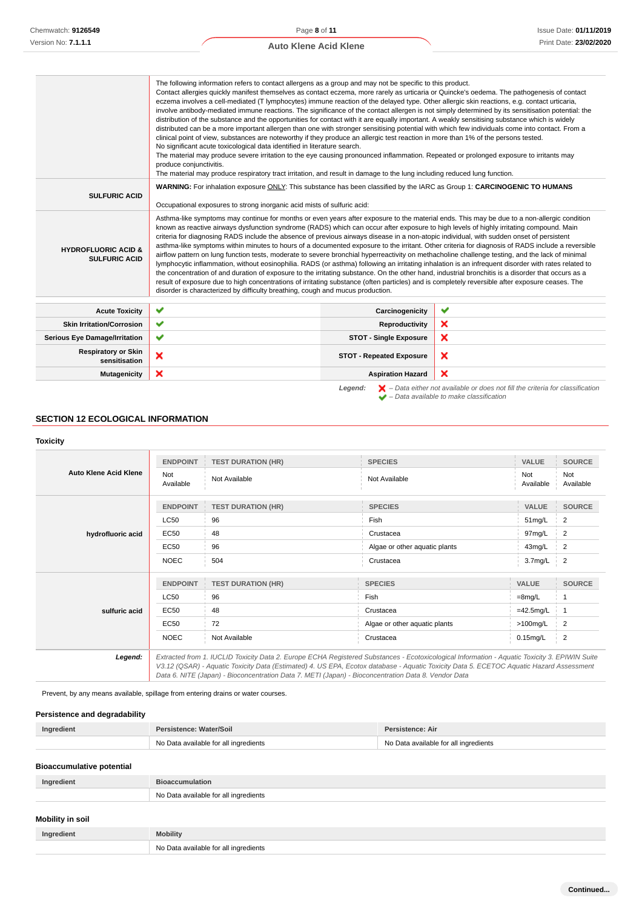Available

Not Available

### **Auto Klene Acid Klene**

|                                                        | The following information refers to contact allergens as a group and may not be specific to this product.<br>Contact allergies quickly manifest themselves as contact eczema, more rarely as urticaria or Quincke's oedema. The pathogenesis of contact<br>eczema involves a cell-mediated (T lymphocytes) immune reaction of the delayed type. Other allergic skin reactions, e.g. contact urticaria,<br>involve antibody-mediated immune reactions. The significance of the contact allergen is not simply determined by its sensitisation potential: the<br>distribution of the substance and the opportunities for contact with it are equally important. A weakly sensitising substance which is widely<br>distributed can be a more important allergen than one with stronger sensitising potential with which few individuals come into contact. From a<br>clinical point of view, substances are noteworthy if they produce an allergic test reaction in more than 1% of the persons tested.<br>No significant acute toxicological data identified in literature search.<br>The material may produce severe irritation to the eye causing pronounced inflammation. Repeated or prolonged exposure to irritants may<br>produce conjunctivitis.<br>The material may produce respiratory tract irritation, and result in damage to the lung including reduced lung function. |                                 |                                                                                                                                                                     |
|--------------------------------------------------------|-----------------------------------------------------------------------------------------------------------------------------------------------------------------------------------------------------------------------------------------------------------------------------------------------------------------------------------------------------------------------------------------------------------------------------------------------------------------------------------------------------------------------------------------------------------------------------------------------------------------------------------------------------------------------------------------------------------------------------------------------------------------------------------------------------------------------------------------------------------------------------------------------------------------------------------------------------------------------------------------------------------------------------------------------------------------------------------------------------------------------------------------------------------------------------------------------------------------------------------------------------------------------------------------------------------------------------------------------------------------------------------|---------------------------------|---------------------------------------------------------------------------------------------------------------------------------------------------------------------|
| <b>SULFURIC ACID</b>                                   | WARNING: For inhalation exposure ONLY: This substance has been classified by the IARC as Group 1: CARCINOGENIC TO HUMANS<br>Occupational exposures to strong inorganic acid mists of sulfuric acid:                                                                                                                                                                                                                                                                                                                                                                                                                                                                                                                                                                                                                                                                                                                                                                                                                                                                                                                                                                                                                                                                                                                                                                               |                                 |                                                                                                                                                                     |
| <b>HYDROFLUORIC ACID &amp;</b><br><b>SULFURIC ACID</b> | Asthma-like symptoms may continue for months or even years after exposure to the material ends. This may be due to a non-allergic condition<br>known as reactive airways dysfunction syndrome (RADS) which can occur after exposure to high levels of highly irritating compound. Main<br>criteria for diagnosing RADS include the absence of previous airways disease in a non-atopic individual, with sudden onset of persistent<br>asthma-like symptoms within minutes to hours of a documented exposure to the irritant. Other criteria for diagnosis of RADS include a reversible<br>airflow pattern on lung function tests, moderate to severe bronchial hyperreactivity on methacholine challenge testing, and the lack of minimal<br>lymphocytic inflammation, without eosinophilia. RADS (or asthma) following an irritating inhalation is an infrequent disorder with rates related to<br>the concentration of and duration of exposure to the irritating substance. On the other hand, industrial bronchitis is a disorder that occurs as a<br>result of exposure due to high concentrations of irritating substance (often particles) and is completely reversible after exposure ceases. The<br>disorder is characterized by difficulty breathing, cough and mucus production.                                                                                       |                                 |                                                                                                                                                                     |
| <b>Acute Toxicity</b>                                  | ✔                                                                                                                                                                                                                                                                                                                                                                                                                                                                                                                                                                                                                                                                                                                                                                                                                                                                                                                                                                                                                                                                                                                                                                                                                                                                                                                                                                                 | Carcinogenicity                 | ✔                                                                                                                                                                   |
| <b>Skin Irritation/Corrosion</b>                       | ✔                                                                                                                                                                                                                                                                                                                                                                                                                                                                                                                                                                                                                                                                                                                                                                                                                                                                                                                                                                                                                                                                                                                                                                                                                                                                                                                                                                                 | Reproductivity                  | ×                                                                                                                                                                   |
| <b>Serious Eye Damage/Irritation</b>                   | ✔                                                                                                                                                                                                                                                                                                                                                                                                                                                                                                                                                                                                                                                                                                                                                                                                                                                                                                                                                                                                                                                                                                                                                                                                                                                                                                                                                                                 | <b>STOT - Single Exposure</b>   | ×                                                                                                                                                                   |
| <b>Respiratory or Skin</b><br>sensitisation            | ×                                                                                                                                                                                                                                                                                                                                                                                                                                                                                                                                                                                                                                                                                                                                                                                                                                                                                                                                                                                                                                                                                                                                                                                                                                                                                                                                                                                 | <b>STOT - Repeated Exposure</b> | ×                                                                                                                                                                   |
| <b>Mutagenicity</b>                                    | ×                                                                                                                                                                                                                                                                                                                                                                                                                                                                                                                                                                                                                                                                                                                                                                                                                                                                                                                                                                                                                                                                                                                                                                                                                                                                                                                                                                                 | <b>Aspiration Hazard</b>        | ×                                                                                                                                                                   |
|                                                        |                                                                                                                                                                                                                                                                                                                                                                                                                                                                                                                                                                                                                                                                                                                                                                                                                                                                                                                                                                                                                                                                                                                                                                                                                                                                                                                                                                                   | Legend:                         | $\blacktriangleright$ - Data either not available or does not fill the criteria for classification<br>$\blacktriangleright$ - Data available to make classification |

### **SECTION 12 ECOLOGICAL INFORMATION**

# **Toxicity Auto Klene Acid Klene ENDPOINT TEST DURATION (HR) SPECIES VALUE SOURCE** Not Not<br>Available Not Available Not Available<br>Results Available Available Available **hydrofluoric acid ENDPOINT TEST DURATION (HR) SPECIES VALUE SOURCE**

|                   | <b>LC50</b>     | 96                                                                                                                                            | Fish                          | 51mg/L              | $\frac{1}{2}$ |
|-------------------|-----------------|-----------------------------------------------------------------------------------------------------------------------------------------------|-------------------------------|---------------------|---------------|
| hydrofluoric acid | EC50            | 48                                                                                                                                            | Crustacea                     | 97mg/L              | 2             |
|                   | EC50            | 96                                                                                                                                            | Algae or other aquatic plants | 43mg/L              | $\frac{1}{2}$ |
|                   | <b>NOEC</b>     | 504                                                                                                                                           | Crustacea                     | 3.7 <sub>mg/L</sub> | $\frac{1}{2}$ |
|                   |                 |                                                                                                                                               |                               |                     |               |
|                   | <b>ENDPOINT</b> | <b>TEST DURATION (HR)</b>                                                                                                                     | <b>SPECIES</b>                | <b>VALUE</b>        | <b>SOURCE</b> |
| sulfuric acid     | <b>LC50</b>     | 96                                                                                                                                            | <b>Fish</b>                   | $=8$ mg/L           |               |
|                   | <b>EC50</b>     | 48                                                                                                                                            | Crustacea                     | $=42.5$ mg/L        |               |
|                   | <b>EC50</b>     | 72                                                                                                                                            | Algae or other aquatic plants | $>100$ mg/L         | 2             |
|                   | <b>NOEC</b>     | Not Available                                                                                                                                 | Crustacea                     | $0.15$ mg/L         | $\frac{1}{2}$ |
| Legend:           |                 | Extracted from 1. IUCLID Toxicity Data 2. Europe ECHA Registered Substances - Ecotoxicological Information - Aquatic Toxicity 3. EPIWIN Suite |                               |                     |               |

V3.12 (QSAR) - Aquatic Toxicity Data (Estimated) 4. US EPA, Ecotox database - Aquatic Toxicity Data 5. ECETOC Aquatic Hazard Assessment Data 6. NITE (Japan) - Bioconcentration Data 7. METI (Japan) - Bioconcentration Data 8. Vendor Data

Prevent, by any means available, spillage from entering drains or water courses.

### **Persistence and degradability**

| Ingredient                       | Persistence: Water/Soil               | Persistence: Air                      |
|----------------------------------|---------------------------------------|---------------------------------------|
|                                  | No Data available for all ingredients | No Data available for all ingredients |
| <b>Bioaccumulative potential</b> |                                       |                                       |

| Ingredient       | <b>Bioaccumulation</b>                |
|------------------|---------------------------------------|
|                  | No Data available for all ingredients |
| Mobility in soil |                                       |
| Ingredient       | <b>Mobility</b>                       |
|                  | No Data available for all ingredients |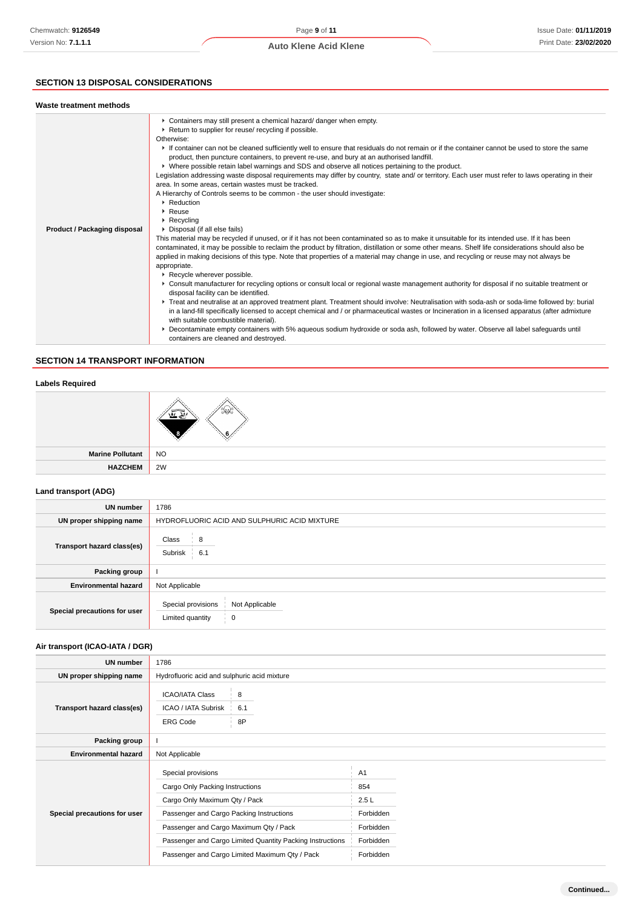### **SECTION 13 DISPOSAL CONSIDERATIONS**

| Waste treatment methods      |                                                                                                                                                                                                                                                                                                                                                                                                                                                                                                                                                                                                                                                                                                                                                                                                                                                                                                                                                                                                                                                                                                                                                                                                                                                                                                                                                                                                                                                                                                                                                                                                                                                                                                                                                                                                                                                                                                                                                                                                                                                                                                                                                      |
|------------------------------|------------------------------------------------------------------------------------------------------------------------------------------------------------------------------------------------------------------------------------------------------------------------------------------------------------------------------------------------------------------------------------------------------------------------------------------------------------------------------------------------------------------------------------------------------------------------------------------------------------------------------------------------------------------------------------------------------------------------------------------------------------------------------------------------------------------------------------------------------------------------------------------------------------------------------------------------------------------------------------------------------------------------------------------------------------------------------------------------------------------------------------------------------------------------------------------------------------------------------------------------------------------------------------------------------------------------------------------------------------------------------------------------------------------------------------------------------------------------------------------------------------------------------------------------------------------------------------------------------------------------------------------------------------------------------------------------------------------------------------------------------------------------------------------------------------------------------------------------------------------------------------------------------------------------------------------------------------------------------------------------------------------------------------------------------------------------------------------------------------------------------------------------------|
| Product / Packaging disposal | • Containers may still present a chemical hazard/ danger when empty.<br>▶ Return to supplier for reuse/ recycling if possible.<br>Otherwise:<br>If container can not be cleaned sufficiently well to ensure that residuals do not remain or if the container cannot be used to store the same<br>product, then puncture containers, to prevent re-use, and bury at an authorised landfill.<br>▶ Where possible retain label warnings and SDS and observe all notices pertaining to the product.<br>Legislation addressing waste disposal requirements may differ by country, state and/ or territory. Each user must refer to laws operating in their<br>area. In some areas, certain wastes must be tracked.<br>A Hierarchy of Controls seems to be common - the user should investigate:<br>$\blacktriangleright$ Reduction<br>$\blacktriangleright$ Reuse<br>$\triangleright$ Recycling<br>▶ Disposal (if all else fails)<br>This material may be recycled if unused, or if it has not been contaminated so as to make it unsuitable for its intended use. If it has been<br>contaminated, it may be possible to reclaim the product by filtration, distillation or some other means. Shelf life considerations should also be<br>applied in making decisions of this type. Note that properties of a material may change in use, and recycling or reuse may not always be<br>appropriate.<br>▶ Recycle wherever possible.<br>▶ Consult manufacturer for recycling options or consult local or regional waste management authority for disposal if no suitable treatment or<br>disposal facility can be identified.<br>▶ Treat and neutralise at an approved treatment plant. Treatment should involve: Neutralisation with soda-ash or soda-lime followed by: burial<br>in a land-fill specifically licensed to accept chemical and / or pharmaceutical wastes or Incineration in a licensed apparatus (after admixture<br>with suitable combustible material).<br>▶ Decontaminate empty containers with 5% aqueous sodium hydroxide or soda ash, followed by water. Observe all label safeguards until<br>containers are cleaned and destroved. |

### **SECTION 14 TRANSPORT INFORMATION**

### **Labels Required**

|                  | $\times$                    |
|------------------|-----------------------------|
| Marine Pollutant | $\overline{\phantom{a}}$ NO |
| <b>HAZCHEM</b>   | 2W                          |

### **Land transport (ADG)**

| UN number                    | 1786                                                          |  |  |  |
|------------------------------|---------------------------------------------------------------|--|--|--|
| UN proper shipping name      | HYDROFLUORIC ACID AND SULPHURIC ACID MIXTURE                  |  |  |  |
| Transport hazard class(es)   | Class<br>8<br>Subrisk<br>6.1                                  |  |  |  |
| Packing group                |                                                               |  |  |  |
| <b>Environmental hazard</b>  | Not Applicable                                                |  |  |  |
| Special precautions for user | Special provisions<br>Not Applicable<br>Limited quantity<br>0 |  |  |  |

### **Air transport (ICAO-IATA / DGR)**

| UN number                    | 1786                                                             |                                                |           |  |
|------------------------------|------------------------------------------------------------------|------------------------------------------------|-----------|--|
| UN proper shipping name      | Hydrofluoric acid and sulphuric acid mixture                     |                                                |           |  |
| Transport hazard class(es)   | <b>ICAO/IATA Class</b><br>ICAO / IATA Subrisk<br><b>ERG Code</b> | 8<br>6.1<br>8P                                 |           |  |
| Packing group                |                                                                  |                                                |           |  |
| <b>Environmental hazard</b>  | Not Applicable                                                   |                                                |           |  |
| Special precautions for user | Special provisions                                               |                                                | A1        |  |
|                              | Cargo Only Packing Instructions                                  |                                                | 854       |  |
|                              | Cargo Only Maximum Qty / Pack                                    |                                                | 2.5L      |  |
|                              | Passenger and Cargo Packing Instructions                         |                                                | Forbidden |  |
|                              | Passenger and Cargo Maximum Qty / Pack                           |                                                | Forbidden |  |
|                              | Passenger and Cargo Limited Quantity Packing Instructions        |                                                | Forbidden |  |
|                              |                                                                  | Passenger and Cargo Limited Maximum Qty / Pack | Forbidden |  |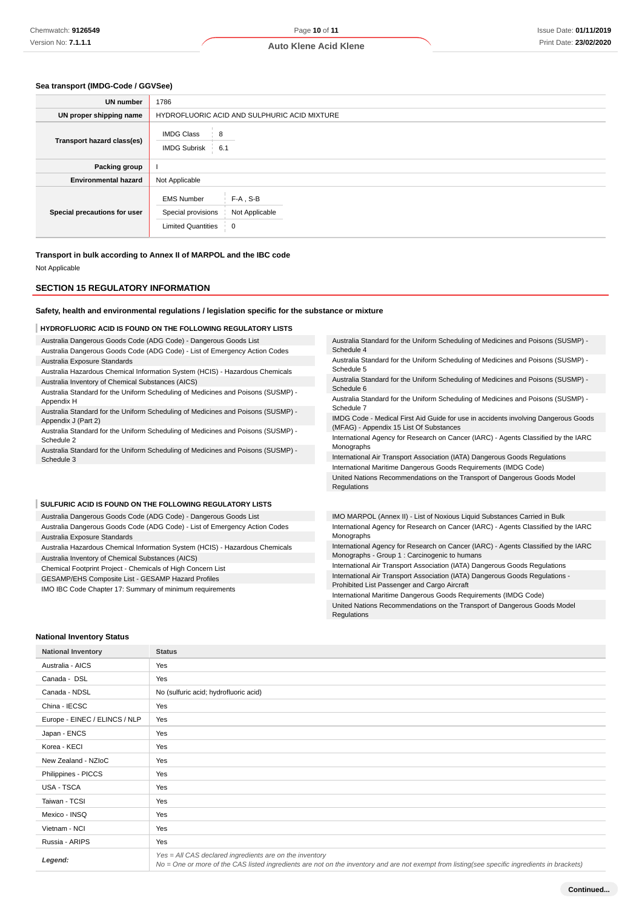### **Sea transport (IMDG-Code / GGVSee)**

| <b>UN number</b>             | 1786                                                                                                                    |  |  |
|------------------------------|-------------------------------------------------------------------------------------------------------------------------|--|--|
| UN proper shipping name      | HYDROFLUORIC ACID AND SULPHURIC ACID MIXTURE                                                                            |  |  |
| Transport hazard class(es)   | <b>IMDG Class</b><br>8<br>$-6.1$<br><b>IMDG Subrisk</b>                                                                 |  |  |
| Packing group                |                                                                                                                         |  |  |
| <b>Environmental hazard</b>  | Not Applicable                                                                                                          |  |  |
| Special precautions for user | <b>EMS Number</b><br>$F-A$ , S-B<br>Special provisions<br>Not Applicable<br><b>Limited Quantities</b><br>$\overline{0}$ |  |  |

**Transport in bulk according to Annex II of MARPOL and the IBC code**

Not Applicable

#### **SECTION 15 REGULATORY INFORMATION**

#### **Safety, health and environmental regulations / legislation specific for the substance or mixture**

#### **HYDROFLUORIC ACID IS FOUND ON THE FOLLOWING REGULATORY LISTS**

Australia Dangerous Goods Code (ADG Code) - Dangerous Goods List

- Australia Dangerous Goods Code (ADG Code) List of Emergency Action Codes Australia Exposure Standards
- Australia Hazardous Chemical Information System (HCIS) Hazardous Chemicals Australia Inventory of Chemical Substances (AICS)
- Australia Standard for the Uniform Scheduling of Medicines and Poisons (SUSMP) Appendix H
- Australia Standard for the Uniform Scheduling of Medicines and Poisons (SUSMP) Appendix J (Part 2)
- Australia Standard for the Uniform Scheduling of Medicines and Poisons (SUSMP) Schedule 2
- Australia Standard for the Uniform Scheduling of Medicines and Poisons (SUSMP) Schedule 3

#### **SULFURIC ACID IS FOUND ON THE FOLLOWING REGULATORY LISTS**

- Australia Dangerous Goods Code (ADG Code) Dangerous Goods List
- Australia Dangerous Goods Code (ADG Code) List of Emergency Action Codes Australia Exposure Standards
- Australia Hazardous Chemical Information System (HCIS) Hazardous Chemicals Australia Inventory of Chemical Substances (AICS)
- Chemical Footprint Project Chemicals of High Concern List

GESAMP/EHS Composite List - GESAMP Hazard Profiles

IMO IBC Code Chapter 17: Summary of minimum requirements

Australia Standard for the Uniform Scheduling of Medicines and Poisons (SUSMP) - Schedule 4

Australia Standard for the Uniform Scheduling of Medicines and Poisons (SUSMP) - Schedule 5

Australia Standard for the Uniform Scheduling of Medicines and Poisons (SUSMP) - Schedule 6

Australia Standard for the Uniform Scheduling of Medicines and Poisons (SUSMP) - Schedule 7

IMDG Code - Medical First Aid Guide for use in accidents involving Dangerous Goods (MFAG) - Appendix 15 List Of Substances

International Agency for Research on Cancer (IARC) - Agents Classified by the IARC Monographs

International Air Transport Association (IATA) Dangerous Goods Regulations International Maritime Dangerous Goods Requirements (IMDG Code)

United Nations Recommendations on the Transport of Dangerous Goods Model Regulations

IMO MARPOL (Annex II) - List of Noxious Liquid Substances Carried in Bulk International Agency for Research on Cancer (IARC) - Agents Classified by the IARC Monographs

International Agency for Research on Cancer (IARC) - Agents Classified by the IARC Monographs - Group 1 : Carcinogenic to humans

International Air Transport Association (IATA) Dangerous Goods Regulations International Air Transport Association (IATA) Dangerous Goods Regulations -

Prohibited List Passenger and Cargo Aircraft

International Maritime Dangerous Goods Requirements (IMDG Code) United Nations Recommendations on the Transport of Dangerous Goods Model

#### **National Inventory Status**

| <b>National Inventory</b>     | <b>Status</b>                                                                                                                                                                                            |
|-------------------------------|----------------------------------------------------------------------------------------------------------------------------------------------------------------------------------------------------------|
| Australia - AICS              | Yes                                                                                                                                                                                                      |
| Canada - DSL                  | Yes                                                                                                                                                                                                      |
| Canada - NDSL                 | No (sulfuric acid; hydrofluoric acid)                                                                                                                                                                    |
| China - IECSC                 | Yes                                                                                                                                                                                                      |
| Europe - EINEC / ELINCS / NLP | Yes                                                                                                                                                                                                      |
| Japan - ENCS                  | Yes                                                                                                                                                                                                      |
| Korea - KECI                  | Yes                                                                                                                                                                                                      |
| New Zealand - NZIoC           | Yes                                                                                                                                                                                                      |
| Philippines - PICCS           | Yes                                                                                                                                                                                                      |
| USA - TSCA                    | Yes                                                                                                                                                                                                      |
| Taiwan - TCSI                 | Yes                                                                                                                                                                                                      |
| Mexico - INSQ                 | Yes                                                                                                                                                                                                      |
| Vietnam - NCI                 | Yes                                                                                                                                                                                                      |
| Russia - ARIPS                | Yes                                                                                                                                                                                                      |
| Legend:                       | Yes = All CAS declared ingredients are on the inventory<br>No = One or more of the CAS listed ingredients are not on the inventory and are not exempt from listing(see specific ingredients in brackets) |

**Regulations**